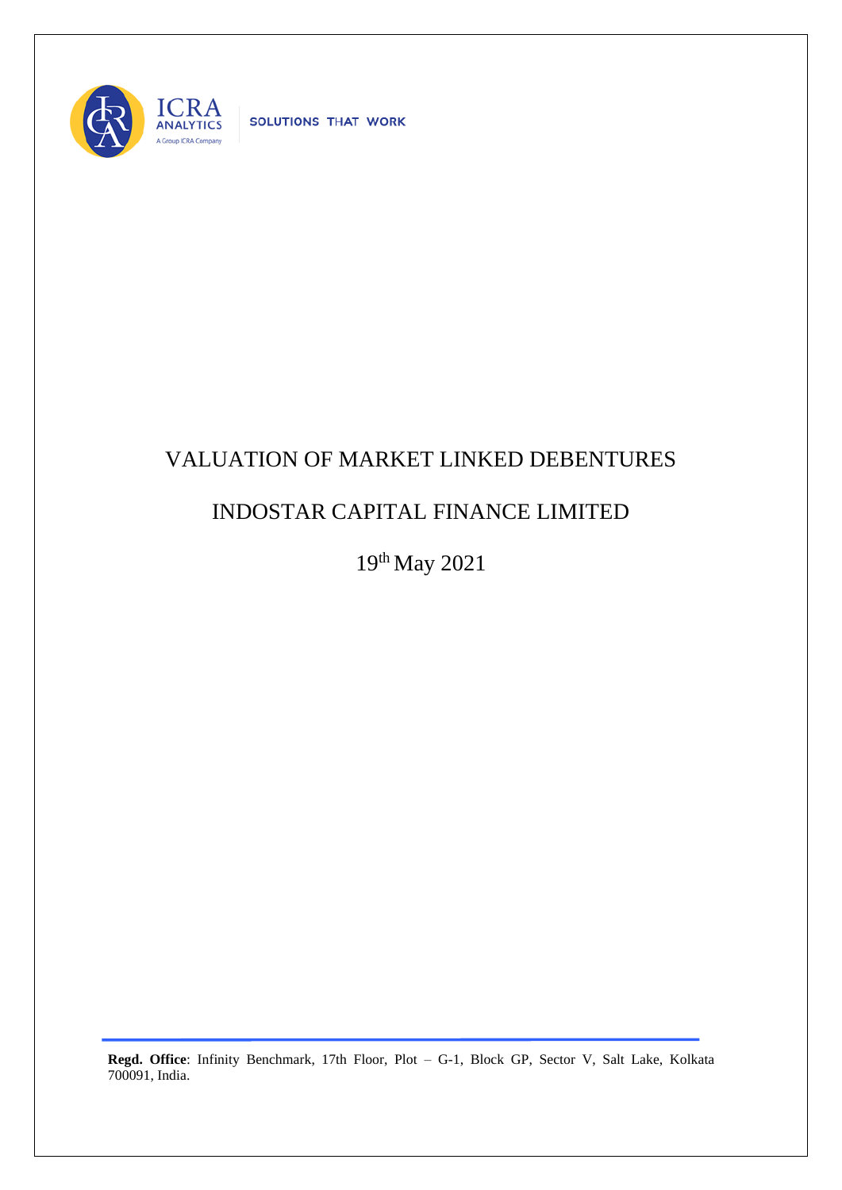

SOLUTIONS THAT WORK

## VALUATION OF MARKET LINKED DEBENTURES

## INDOSTAR CAPITAL FINANCE LIMITED

19th May 2021

**Regd. Office**: Infinity Benchmark, 17th Floor, Plot – G-1, Block GP, Sector V, Salt Lake, Kolkata 700091, India.